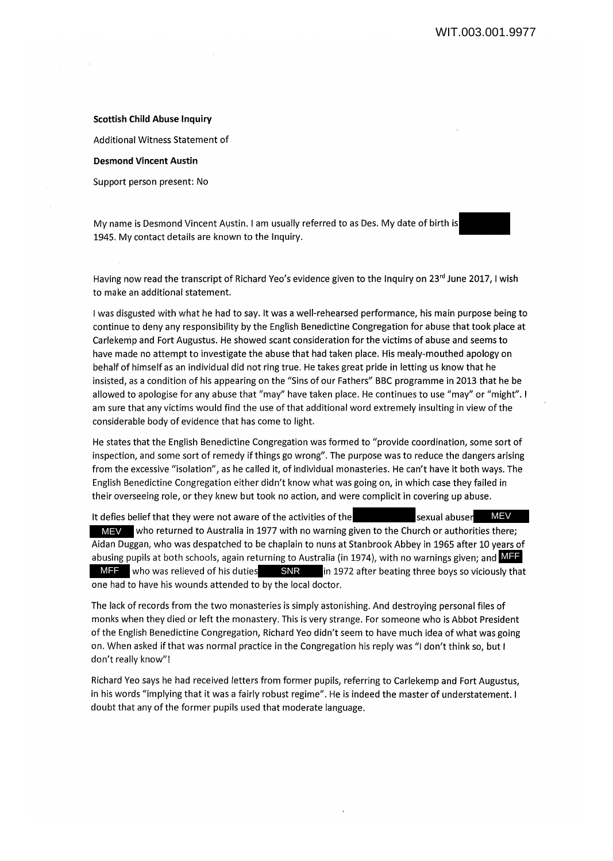## **Scottish Child Abuse Inquiry**

Additional Witness Statement of

## **Desmond Vincent Austin**

Support person present: No

My name is Desmond Vincent Austin. I am usually referred to as Des. My date of birth is 1945. My contact details are known to the Inquiry.

Having now read the transcript of Richard Yeo's evidence given to the Inquiry on 23<sup>rd</sup> June 2017, I wish to make an additional statement.

I was disgusted with what he had to say. It was a well-rehearsed performance, his main purpose being to continue to deny any responsibility by the English Benedictine Congregation for abuse that took place at Carlekenip and Fort Augustus. He showed scant consideration for the victims of abuse and seems to have made no attempt to investigate the abuse that had taken place. His mealy-mouthed apology on behalf of himself as an individual did not ring true. He takes great pride in letting us know that he insisted, as a condition of his appearing on the "Sins of our Fathers" BBC programme in 2013 that he be allowed to apologise for any abuse that "may" have taken place. He continues to use "may" or "might". I am sure that any victims would find the use of that additional word extremely insulting in view of the considerable body of evidence that has come to light.

He states that the English Benedictine Congregation was formed to "provide coordination, some sort of inspection, and some sort of remedy if things go wrong". The purpose was to reduce the dangers arising from the excessive "isolation", as he called it, of individual monasteries. He can't have it both ways. The English Benedictine Congregation either didn't know what was going on, in which case they failed in their overseeing role, or they knew but took no action, and were complicit in covering up abuse.

It defies belief that they were not aware of the activities of the MEV who returned to Australia in 1977 with no warning given to the Church or authorities there; Aidan Duggan, who was despatched to be chaplain to nuns at Stanbrook Abbey in 1965 after 10 years of abusing pupils at both schools, again returning to Australia (in 1974), with no warnings given; and  $\sf MIF$ MFF who was relieved of his duties SNR in 1972 after beating three boys so viciously that one had to have his wounds attended to by the local doctor. sexual abuser MEV

The lack of records from the two monasteries is simply astonishing. And destroying personal files of monks when they died or left the monastery. This is very strange. For someone who is Abbot President of the English Benedictine Congregation, Richard Yeo didn't seem to have much idea of what was going on. When asked if that was normal practice in the Congregation his reply was "I don't think so, but I don't really know"!

Richard Yeo says he had received letters from former pupils, referring to Carlekemp and Fort Augustus, in his words "implying that it was a fairly robust regime". He is indeed the master of understatement. I doubt that any of the former pupils used that moderate language.